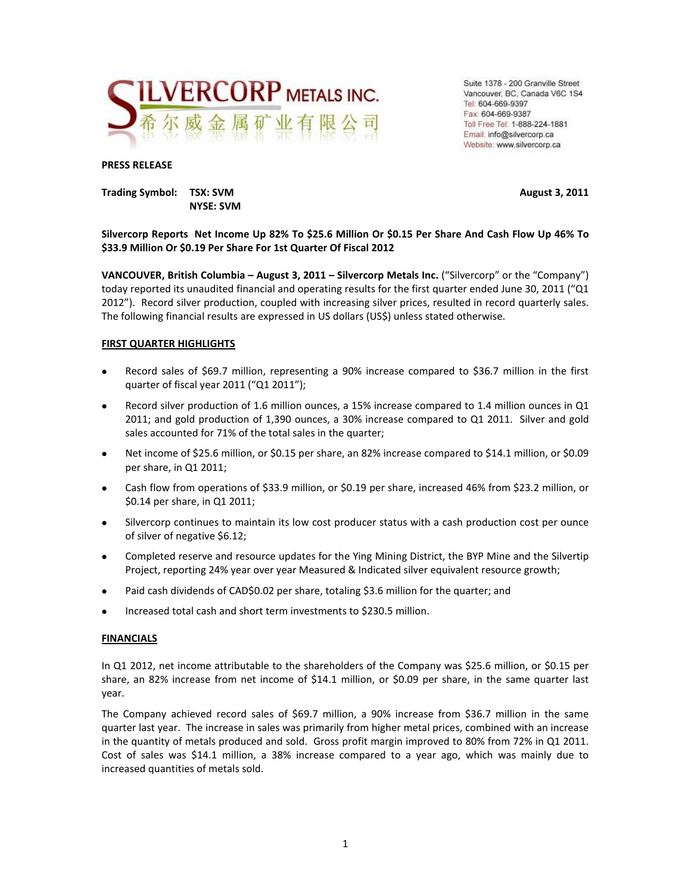

Suite 1378 - 200 Granville Street Vancouver, BC, Canada V6C 1S4 Tel: 604-669-9397 Fax: 604-669-9387 Toll Free Tel: 1-888-224-1881 Email: info@silvercorp.ca Website: www.silvercorp.ca

#### **PRESS RELEASE**

#### **Trading Symbol: TSX: SVM August 3, 2011 NYSE: SVM**

#### **Silvercorp Reports Net Income Up 82% To \$25.6 Million Or \$0.15 Per Share And Cash Flow Up 46% To \$33.9 Million Or \$0.19 Per Share For 1st Quarter Of Fiscal 2012**

**VANCOUVER, British Columbia – August 3, 2011 – Silvercorp Metals Inc.** ("Silvercorp" or the "Company") today reported its unaudited financial and operating results for the first quarter ended June 30, 2011 ("Q1 2012"). Record silver production, coupled with increasing silver prices, resulted in record quarterly sales. The following financial results are expressed in US dollars (US\$) unless stated otherwise.

#### **FIRST QUARTER HIGHLIGHTS**

- Record sales of \$69.7 million, representing a 90% increase compared to \$36.7 million in the first quarter of fiscal year 2011 ("Q1 2011");
- Record silver production of 1.6 million ounces, a 15% increase compared to 1.4 million ounces in Q1 2011; and gold production of 1,390 ounces, a 30% increase compared to Q1 2011. Silver and gold sales accounted for 71% of the total sales in the quarter;
- Net income of \$25.6 million, or \$0.15 per share, an 82% increase compared to \$14.1 million, or \$0.09 per share, in Q1 2011;
- Cash flow from operations of \$33.9 million, or \$0.19 per share, increased 46% from \$23.2 million, or \$0.14 per share, in Q1 2011;
- Silvercorp continues to maintain its low cost producer status with a cash production cost per ounce of silver of negative \$6.12;
- Completed reserve and resource updates for the Ying Mining District, the BYP Mine and the Silvertip Project, reporting 24% year over year Measured & Indicated silver equivalent resource growth;
- Paid cash dividends of CAD\$0.02 per share, totaling \$3.6 million for the quarter; and
- Increased total cash and short term investments to \$230.5 million.

#### **FINANCIALS**

In Q1 2012, net income attributable to the shareholders of the Company was \$25.6 million, or \$0.15 per share, an 82% increase from net income of \$14.1 million, or \$0.09 per share, in the same quarter last year.

The Company achieved record sales of \$69.7 million, a 90% increase from \$36.7 million in the same quarter last year. The increase in sales was primarily from higher metal prices, combined with an increase in the quantity of metals produced and sold. Gross profit margin improved to 80% from 72% in Q1 2011. Cost of sales was \$14.1 million, a 38% increase compared to a year ago, which was mainly due to increased quantities of metals sold.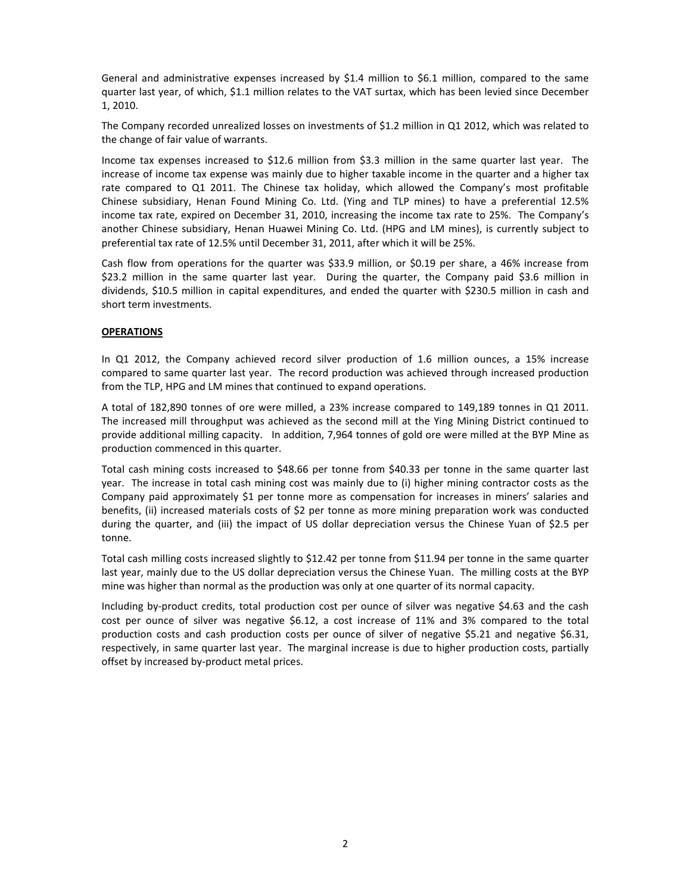General and administrative expenses increased by \$1.4 million to \$6.1 million, compared to the same quarter last year, of which, \$1.1 million relates to the VAT surtax, which has been levied since December 1, 2010.

The Company recorded unrealized losses on investments of \$1.2 million in Q1 2012, which was related to the change of fair value of warrants.

Income tax expenses increased to \$12.6 million from \$3.3 million in the same quarter last year. The increase of income tax expense was mainly due to higher taxable income in the quarter and a higher tax rate compared to Q1 2011. The Chinese tax holiday, which allowed the Company's most profitable Chinese subsidiary, Henan Found Mining Co. Ltd. (Ying and TLP mines) to have a preferential 12.5% income tax rate, expired on December 31, 2010, increasing the income tax rate to 25%. The Company's another Chinese subsidiary, Henan Huawei Mining Co. Ltd. (HPG and LM mines), is currently subject to preferential tax rate of 12.5% until December 31, 2011, after which it will be 25%.

Cash flow from operations for the quarter was \$33.9 million, or \$0.19 per share, a 46% increase from \$23.2 million in the same quarter last year. During the quarter, the Company paid \$3.6 million in dividends, \$10.5 million in capital expenditures, and ended the quarter with \$230.5 million in cash and short term investments.

#### **OPERATIONS**

In Q1 2012, the Company achieved record silver production of 1.6 million ounces, a 15% increase compared to same quarter last year. The record production was achieved through increased production from the TLP, HPG and LM mines that continued to expand operations.

A total of 182,890 tonnes of ore were milled, a 23% increase compared to 149,189 tonnes in Q1 2011. The increased mill throughput was achieved as the second mill at the Ying Mining District continued to provide additional milling capacity. In addition, 7,964 tonnes of gold ore were milled at the BYP Mine as production commenced in this quarter.

Total cash mining costs increased to \$48.66 per tonne from \$40.33 per tonne in the same quarter last year. The increase in total cash mining cost was mainly due to (i) higher mining contractor costs as the Company paid approximately \$1 per tonne more as compensation for increases in miners' salaries and benefits, (ii) increased materials costs of \$2 per tonne as more mining preparation work was conducted during the quarter, and (iii) the impact of US dollar depreciation versus the Chinese Yuan of \$2.5 per tonne.

Total cash milling costs increased slightly to \$12.42 per tonne from \$11.94 per tonne in the same quarter last year, mainly due to the US dollar depreciation versus the Chinese Yuan. The milling costs at the BYP mine was higher than normal as the production was only at one quarter of its normal capacity.

Including by-product credits, total production cost per ounce of silver was negative \$4.63 and the cash cost per ounce of silver was negative \$6.12, a cost increase of 11% and 3% compared to the total production costs and cash production costs per ounce of silver of negative \$5.21 and negative \$6.31, respectively, in same quarter last year. The marginal increase is due to higher production costs, partially offset by increased by-product metal prices.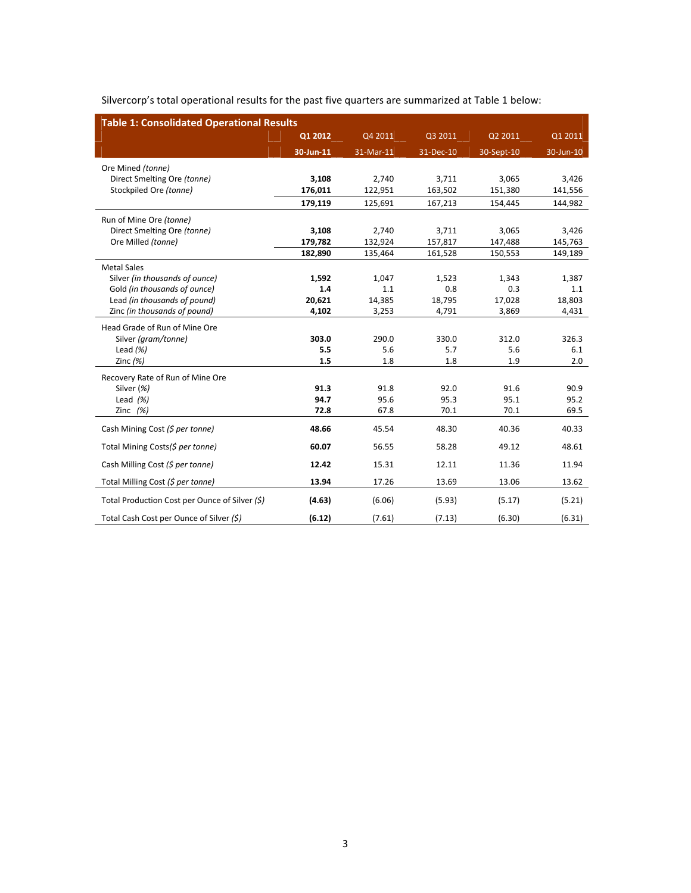| <b>Table 1: Consolidated Operational Results</b> |           |           |           |            |           |
|--------------------------------------------------|-----------|-----------|-----------|------------|-----------|
|                                                  | Q1 2012   | Q4 2011   | Q3 2011   | Q2 2011    | Q1 2011   |
|                                                  | 30-Jun-11 | 31-Mar-11 | 31-Dec-10 | 30-Sept-10 | 30-Jun-10 |
| Ore Mined (tonne)                                |           |           |           |            |           |
| Direct Smelting Ore (tonne)                      | 3,108     | 2,740     | 3,711     | 3,065      | 3,426     |
| Stockpiled Ore (tonne)                           | 176,011   | 122,951   | 163,502   | 151,380    | 141,556   |
|                                                  | 179,119   | 125,691   | 167,213   | 154,445    | 144,982   |
| Run of Mine Ore (tonne)                          |           |           |           |            |           |
| Direct Smelting Ore (tonne)                      | 3,108     | 2,740     | 3,711     | 3,065      | 3,426     |
| Ore Milled (tonne)                               | 179,782   | 132,924   | 157,817   | 147,488    | 145,763   |
|                                                  | 182,890   | 135,464   | 161,528   | 150,553    | 149,189   |
| <b>Metal Sales</b>                               |           |           |           |            |           |
| Silver (in thousands of ounce)                   | 1,592     | 1,047     | 1,523     | 1,343      | 1,387     |
| Gold (in thousands of ounce)                     | 1.4       | 1.1       | 0.8       | 0.3        | 1.1       |
| Lead (in thousands of pound)                     | 20,621    | 14,385    | 18,795    | 17,028     | 18,803    |
| Zinc (in thousands of pound)                     | 4,102     | 3,253     | 4,791     | 3,869      | 4,431     |
| Head Grade of Run of Mine Ore                    |           |           |           |            |           |
| Silver (gram/tonne)                              | 303.0     | 290.0     | 330.0     | 312.0      | 326.3     |
| Lead $(%)$                                       | 5.5       | 5.6       | 5.7       | 5.6        | 6.1       |
| Zinc $(%)$                                       | 1.5       | 1.8       | 1.8       | 1.9        | 2.0       |
| Recovery Rate of Run of Mine Ore                 |           |           |           |            |           |
| Silver (%)                                       | 91.3      | 91.8      | 92.0      | 91.6       | 90.9      |
| Lead $(%)$                                       | 94.7      | 95.6      | 95.3      | 95.1       | 95.2      |
| Zinc $(%)$                                       | 72.8      | 67.8      | 70.1      | 70.1       | 69.5      |
| Cash Mining Cost (\$ per tonne)                  | 48.66     | 45.54     | 48.30     | 40.36      | 40.33     |
| Total Mining Costs(\$ per tonne)                 | 60.07     | 56.55     | 58.28     | 49.12      | 48.61     |
| Cash Milling Cost (\$ per tonne)                 | 12.42     | 15.31     | 12.11     | 11.36      | 11.94     |
| Total Milling Cost (\$ per tonne)                | 13.94     | 17.26     | 13.69     | 13.06      | 13.62     |
| Total Production Cost per Ounce of Silver (\$)   | (4.63)    | (6.06)    | (5.93)    | (5.17)     | (5.21)    |
| Total Cash Cost per Ounce of Silver (\$)         | (6.12)    | (7.61)    | (7.13)    | (6.30)     | (6.31)    |

#### Silvercorp's total operational results for the past five quarters are summarized at Table 1 below: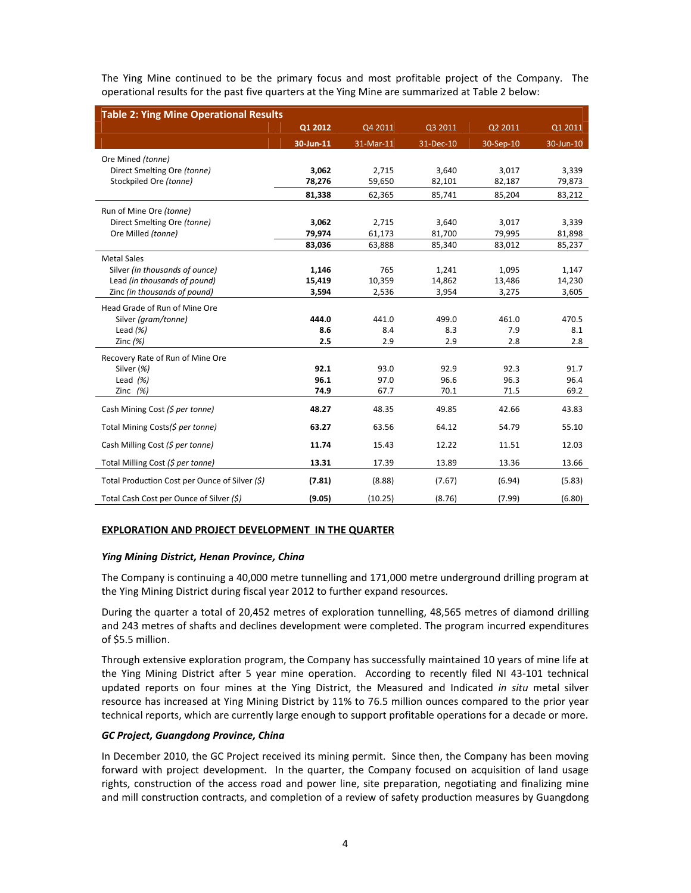| <b>Table 2: Ying Mine Operational Results</b>  |           |           |           |           |           |
|------------------------------------------------|-----------|-----------|-----------|-----------|-----------|
|                                                | Q1 2012   | Q4 2011   | Q3 2011   | Q2 2011   | Q1 2011   |
|                                                | 30-Jun-11 | 31-Mar-11 | 31-Dec-10 | 30-Sep-10 | 30-Jun-10 |
| Ore Mined (tonne)                              |           |           |           |           |           |
| Direct Smelting Ore (tonne)                    | 3,062     | 2,715     | 3,640     | 3,017     | 3,339     |
| Stockpiled Ore (tonne)                         | 78,276    | 59,650    | 82,101    | 82,187    | 79,873    |
|                                                | 81,338    | 62,365    | 85,741    | 85,204    | 83,212    |
| Run of Mine Ore (tonne)                        |           |           |           |           |           |
| Direct Smelting Ore (tonne)                    | 3,062     | 2,715     | 3,640     | 3,017     | 3,339     |
| Ore Milled (tonne)                             | 79,974    | 61,173    | 81,700    | 79,995    | 81,898    |
|                                                | 83,036    | 63,888    | 85,340    | 83,012    | 85,237    |
| <b>Metal Sales</b>                             |           |           |           |           |           |
| Silver (in thousands of ounce)                 | 1,146     | 765       | 1,241     | 1,095     | 1,147     |
| Lead (in thousands of pound)                   | 15,419    | 10,359    | 14,862    | 13,486    | 14,230    |
| Zinc (in thousands of pound)                   | 3,594     | 2,536     | 3,954     | 3,275     | 3,605     |
| Head Grade of Run of Mine Ore                  |           |           |           |           |           |
| Silver (gram/tonne)                            | 444.0     | 441.0     | 499.0     | 461.0     | 470.5     |
| Lead $(\%)$                                    | 8.6       | 8.4       | 8.3       | 7.9       | 8.1       |
| Zinc $(%)$                                     | 2.5       | 2.9       | 2.9       | 2.8       | 2.8       |
| Recovery Rate of Run of Mine Ore               |           |           |           |           |           |
| Silver (%)                                     | 92.1      | 93.0      | 92.9      | 92.3      | 91.7      |
| Lead $(%)$                                     | 96.1      | 97.0      | 96.6      | 96.3      | 96.4      |
| Zinc $(%)$                                     | 74.9      | 67.7      | 70.1      | 71.5      | 69.2      |
| Cash Mining Cost (\$ per tonne)                | 48.27     | 48.35     | 49.85     | 42.66     | 43.83     |
| Total Mining Costs(\$ per tonne)               | 63.27     | 63.56     | 64.12     | 54.79     | 55.10     |
| Cash Milling Cost (\$ per tonne)               | 11.74     | 15.43     | 12.22     | 11.51     | 12.03     |
| Total Milling Cost (\$ per tonne)              | 13.31     | 17.39     | 13.89     | 13.36     | 13.66     |
| Total Production Cost per Ounce of Silver (\$) | (7.81)    | (8.88)    | (7.67)    | (6.94)    | (5.83)    |
| Total Cash Cost per Ounce of Silver (\$)       | (9.05)    | (10.25)   | (8.76)    | (7.99)    | (6.80)    |

The Ying Mine continued to be the primary focus and most profitable project of the Company. The operational results for the past five quarters at the Ying Mine are summarized at Table 2 below:

#### **EXPLORATION AND PROJECT DEVELOPMENT IN THE QUARTER**

#### *Ying Mining District, Henan Province, China*

The Company is continuing a 40,000 metre tunnelling and 171,000 metre underground drilling program at the Ying Mining District during fiscal year 2012 to further expand resources.

During the quarter a total of 20,452 metres of exploration tunnelling, 48,565 metres of diamond drilling and 243 metres of shafts and declines development were completed. The program incurred expenditures of \$5.5 million.

Through extensive exploration program, the Company has successfully maintained 10 years of mine life at the Ying Mining District after 5 year mine operation. According to recently filed NI 43-101 technical updated reports on four mines at the Ying District, the Measured and Indicated *in situ* metal silver resource has increased at Ying Mining District by 11% to 76.5 million ounces compared to the prior year technical reports, which are currently large enough to support profitable operations for a decade or more.

#### *GC Project, Guangdong Province, China*

In December 2010, the GC Project received its mining permit. Since then, the Company has been moving forward with project development. In the quarter, the Company focused on acquisition of land usage rights, construction of the access road and power line, site preparation, negotiating and finalizing mine and mill construction contracts, and completion of a review of safety production measures by Guangdong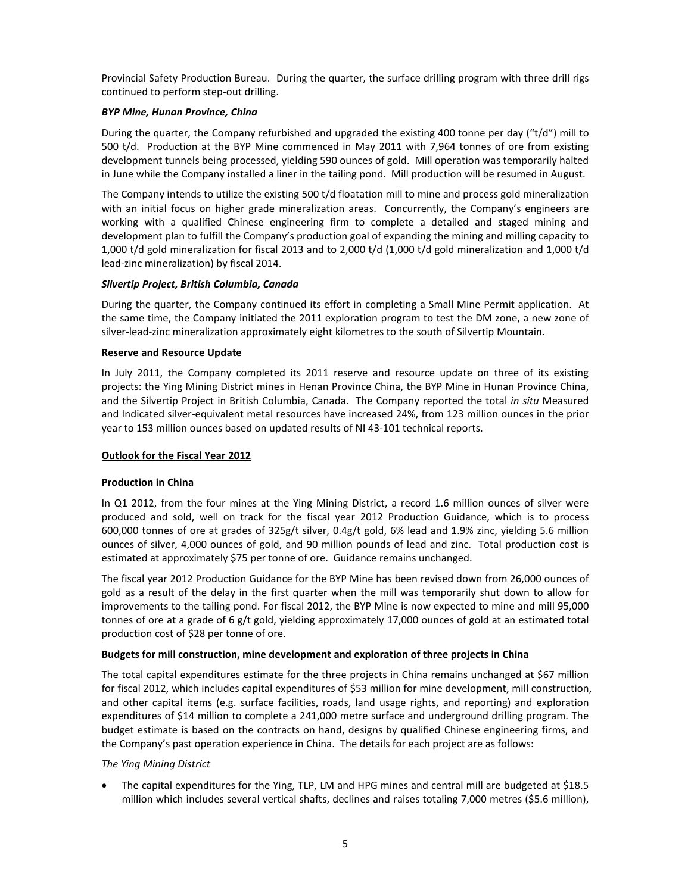Provincial Safety Production Bureau. During the quarter, the surface drilling program with three drill rigs continued to perform step-out drilling.

#### *BYP Mine, Hunan Province, China*

During the quarter, the Company refurbished and upgraded the existing 400 tonne per day ("t/d") mill to 500 t/d. Production at the BYP Mine commenced in May 2011 with 7,964 tonnes of ore from existing development tunnels being processed, yielding 590 ounces of gold. Mill operation was temporarily halted in June while the Company installed a liner in the tailing pond. Mill production will be resumed in August.

The Company intends to utilize the existing 500 t/d floatation mill to mine and process gold mineralization with an initial focus on higher grade mineralization areas. Concurrently, the Company's engineers are working with a qualified Chinese engineering firm to complete a detailed and staged mining and development plan to fulfill the Company's production goal of expanding the mining and milling capacity to 1,000 t/d gold mineralization for fiscal 2013 and to 2,000 t/d (1,000 t/d gold mineralization and 1,000 t/d lead-zinc mineralization) by fiscal 2014.

#### *Silvertip Project, British Columbia, Canada*

During the quarter, the Company continued its effort in completing a Small Mine Permit application. At the same time, the Company initiated the 2011 exploration program to test the DM zone, a new zone of silver-lead-zinc mineralization approximately eight kilometres to the south of Silvertip Mountain.

#### **Reserve and Resource Update**

In July 2011, the Company completed its 2011 reserve and resource update on three of its existing projects: the Ying Mining District mines in Henan Province China, the BYP Mine in Hunan Province China, and the Silvertip Project in British Columbia, Canada. The Company reported the total *in situ* Measured and Indicated silver-equivalent metal resources have increased 24%, from 123 million ounces in the prior year to 153 million ounces based on updated results of NI 43-101 technical reports.

#### **Outlook for the Fiscal Year 2012**

#### **Production in China**

In Q1 2012, from the four mines at the Ying Mining District, a record 1.6 million ounces of silver were produced and sold, well on track for the fiscal year 2012 Production Guidance, which is to process 600,000 tonnes of ore at grades of 325g/t silver, 0.4g/t gold, 6% lead and 1.9% zinc, yielding 5.6 million ounces of silver, 4,000 ounces of gold, and 90 million pounds of lead and zinc. Total production cost is estimated at approximately \$75 per tonne of ore. Guidance remains unchanged.

The fiscal year 2012 Production Guidance for the BYP Mine has been revised down from 26,000 ounces of gold as a result of the delay in the first quarter when the mill was temporarily shut down to allow for improvements to the tailing pond. For fiscal 2012, the BYP Mine is now expected to mine and mill 95,000 tonnes of ore at a grade of 6 g/t gold, yielding approximately 17,000 ounces of gold at an estimated total production cost of \$28 per tonne of ore.

#### **Budgets for mill construction, mine development and exploration of three projects in China**

The total capital expenditures estimate for the three projects in China remains unchanged at \$67 million for fiscal 2012, which includes capital expenditures of \$53 million for mine development, mill construction, and other capital items (e.g. surface facilities, roads, land usage rights, and reporting) and exploration expenditures of \$14 million to complete a 241,000 metre surface and underground drilling program. The budget estimate is based on the contracts on hand, designs by qualified Chinese engineering firms, and the Company's past operation experience in China. The details for each project are as follows:

#### *The Ying Mining District*

• The capital expenditures for the Ying, TLP, LM and HPG mines and central mill are budgeted at \$18.5 million which includes several vertical shafts, declines and raises totaling 7,000 metres (\$5.6 million),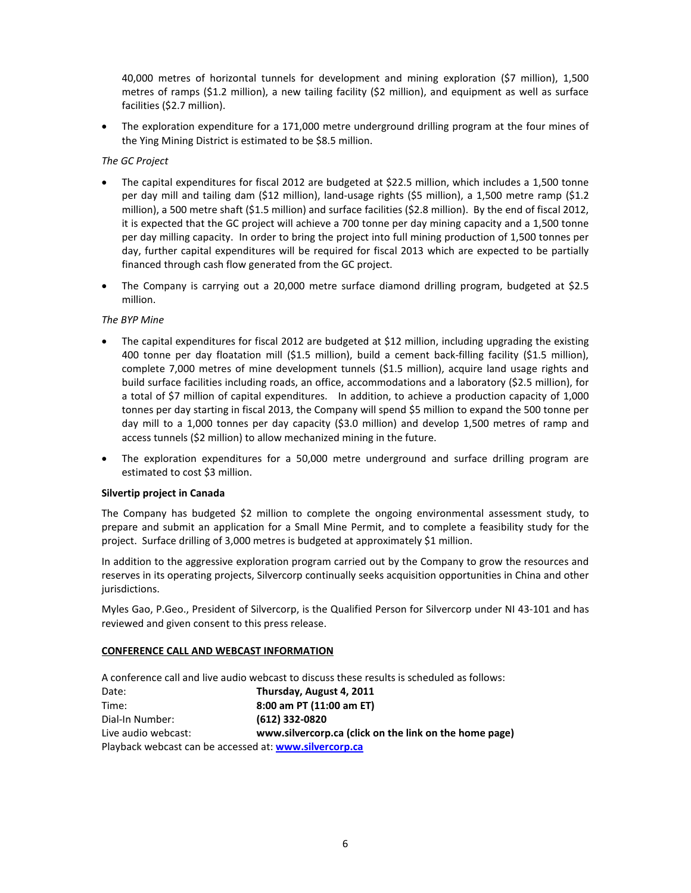40,000 metres of horizontal tunnels for development and mining exploration (\$7 million), 1,500 metres of ramps (\$1.2 million), a new tailing facility (\$2 million), and equipment as well as surface facilities (\$2.7 million).

• The exploration expenditure for a 171,000 metre underground drilling program at the four mines of the Ying Mining District is estimated to be \$8.5 million.

#### *The GC Project*

- The capital expenditures for fiscal 2012 are budgeted at \$22.5 million, which includes a 1,500 tonne per day mill and tailing dam (\$12 million), land-usage rights (\$5 million), a 1,500 metre ramp (\$1.2 million), a 500 metre shaft (\$1.5 million) and surface facilities (\$2.8 million). By the end of fiscal 2012, it is expected that the GC project will achieve a 700 tonne per day mining capacity and a 1,500 tonne per day milling capacity. In order to bring the project into full mining production of 1,500 tonnes per day, further capital expenditures will be required for fiscal 2013 which are expected to be partially financed through cash flow generated from the GC project.
- The Company is carrying out a 20,000 metre surface diamond drilling program, budgeted at \$2.5 million.

#### *The BYP Mine*

- The capital expenditures for fiscal 2012 are budgeted at \$12 million, including upgrading the existing 400 tonne per day floatation mill (\$1.5 million), build a cement back-filling facility (\$1.5 million), complete 7,000 metres of mine development tunnels (\$1.5 million), acquire land usage rights and build surface facilities including roads, an office, accommodations and a laboratory (\$2.5 million), for a total of \$7 million of capital expenditures. In addition, to achieve a production capacity of 1,000 tonnes per day starting in fiscal 2013, the Company will spend \$5 million to expand the 500 tonne per day mill to a 1,000 tonnes per day capacity (\$3.0 million) and develop 1,500 metres of ramp and access tunnels (\$2 million) to allow mechanized mining in the future.
- The exploration expenditures for a 50,000 metre underground and surface drilling program are estimated to cost \$3 million.

#### **Silvertip project in Canada**

The Company has budgeted \$2 million to complete the ongoing environmental assessment study, to prepare and submit an application for a Small Mine Permit, and to complete a feasibility study for the project. Surface drilling of 3,000 metres is budgeted at approximately \$1 million.

In addition to the aggressive exploration program carried out by the Company to grow the resources and reserves in its operating projects, Silvercorp continually seeks acquisition opportunities in China and other jurisdictions.

Myles Gao, P.Geo., President of Silvercorp, is the Qualified Person for Silvercorp under NI 43-101 and has reviewed and given consent to this press release.

#### **CONFERENCE CALL AND WEBCAST INFORMATION**

|                     | A conference call and live audio webcast to discuss these results is scheduled as follows: |
|---------------------|--------------------------------------------------------------------------------------------|
| Date:               | Thursday, August 4, 2011                                                                   |
| Time:               | 8:00 am PT (11:00 am ET)                                                                   |
| Dial-In Number:     | (612) 332-0820                                                                             |
| Live audio webcast: | www.silvercorp.ca (click on the link on the home page)                                     |
|                     | Playback webcast can be accessed at: <b>www.silvercorp.ca</b>                              |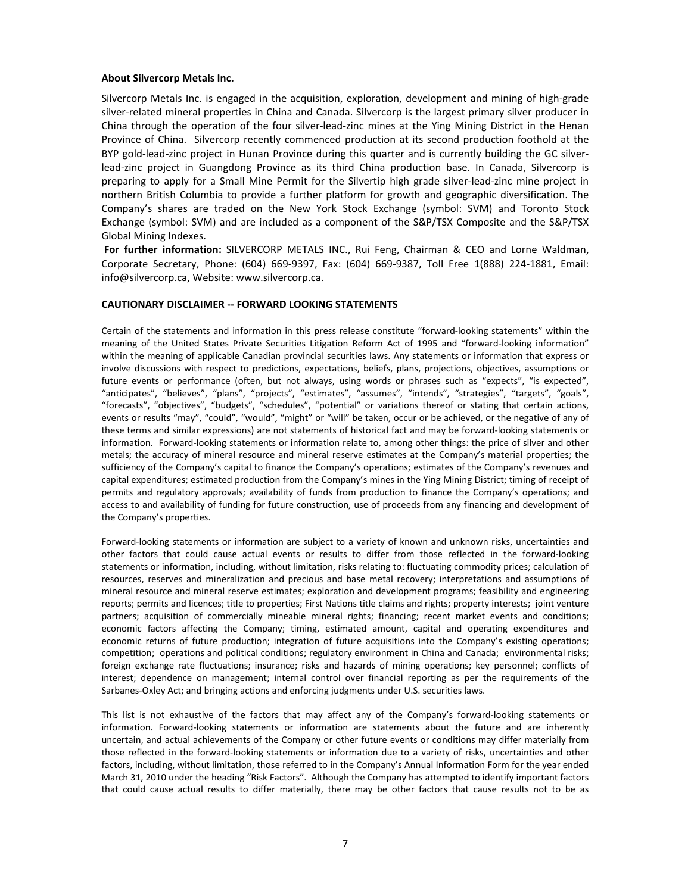#### **About Silvercorp Metals Inc.**

Silvercorp Metals Inc. is engaged in the acquisition, exploration, development and mining of high-grade silver-related mineral properties in China and Canada. Silvercorp is the largest primary silver producer in China through the operation of the four silver-lead-zinc mines at the Ying Mining District in the Henan Province of China. Silvercorp recently commenced production at its second production foothold at the BYP gold-lead-zinc project in Hunan Province during this quarter and is currently building the GC silverlead-zinc project in Guangdong Province as its third China production base. In Canada, Silvercorp is preparing to apply for a Small Mine Permit for the Silvertip high grade silver-lead-zinc mine project in northern British Columbia to provide a further platform for growth and geographic diversification. The Company's shares are traded on the New York Stock Exchange (symbol: SVM) and Toronto Stock Exchange (symbol: SVM) and are included as a component of the S&P/TSX Composite and the S&P/TSX Global Mining Indexes.

**For further information:** SILVERCORP METALS INC., Rui Feng, Chairman & CEO and Lorne Waldman, Corporate Secretary, Phone: (604) 669-9397, Fax: (604) 669-9387, Toll Free 1(888) 224-1881, Email: info@silvercorp.ca, Website: www.silvercorp.ca.

#### **CAUTIONARY DISCLAIMER -- FORWARD LOOKING STATEMENTS**

Certain of the statements and information in this press release constitute "forward-looking statements" within the meaning of the United States Private Securities Litigation Reform Act of 1995 and "forward-looking information" within the meaning of applicable Canadian provincial securities laws. Any statements or information that express or involve discussions with respect to predictions, expectations, beliefs, plans, projections, objectives, assumptions or future events or performance (often, but not always, using words or phrases such as "expects", "is expected", "anticipates", "believes", "plans", "projects", "estimates", "assumes", "intends", "strategies", "targets", "goals", "forecasts", "objectives", "budgets", "schedules", "potential" or variations thereof or stating that certain actions, events or results "may", "could", "would", "might" or "will" be taken, occur or be achieved, or the negative of any of these terms and similar expressions) are not statements of historical fact and may be forward-looking statements or information. Forward-looking statements or information relate to, among other things: the price of silver and other metals; the accuracy of mineral resource and mineral reserve estimates at the Company's material properties; the sufficiency of the Company's capital to finance the Company's operations; estimates of the Company's revenues and capital expenditures; estimated production from the Company's mines in the Ying Mining District; timing of receipt of permits and regulatory approvals; availability of funds from production to finance the Company's operations; and access to and availability of funding for future construction, use of proceeds from any financing and development of the Company's properties.

Forward-looking statements or information are subject to a variety of known and unknown risks, uncertainties and other factors that could cause actual events or results to differ from those reflected in the forward-looking statements or information, including, without limitation, risks relating to: fluctuating commodity prices; calculation of resources, reserves and mineralization and precious and base metal recovery; interpretations and assumptions of mineral resource and mineral reserve estimates; exploration and development programs; feasibility and engineering reports; permits and licences; title to properties; First Nations title claims and rights; property interests; joint venture partners; acquisition of commercially mineable mineral rights; financing; recent market events and conditions; economic factors affecting the Company; timing, estimated amount, capital and operating expenditures and economic returns of future production; integration of future acquisitions into the Company's existing operations; competition; operations and political conditions; regulatory environment in China and Canada; environmental risks; foreign exchange rate fluctuations; insurance; risks and hazards of mining operations; key personnel; conflicts of interest; dependence on management; internal control over financial reporting as per the requirements of the Sarbanes-Oxley Act; and bringing actions and enforcing judgments under U.S. securities laws.

This list is not exhaustive of the factors that may affect any of the Company's forward-looking statements or information. Forward-looking statements or information are statements about the future and are inherently uncertain, and actual achievements of the Company or other future events or conditions may differ materially from those reflected in the forward-looking statements or information due to a variety of risks, uncertainties and other factors, including, without limitation, those referred to in the Company's Annual Information Form for the year ended March 31, 2010 under the heading "Risk Factors". Although the Company has attempted to identify important factors that could cause actual results to differ materially, there may be other factors that cause results not to be as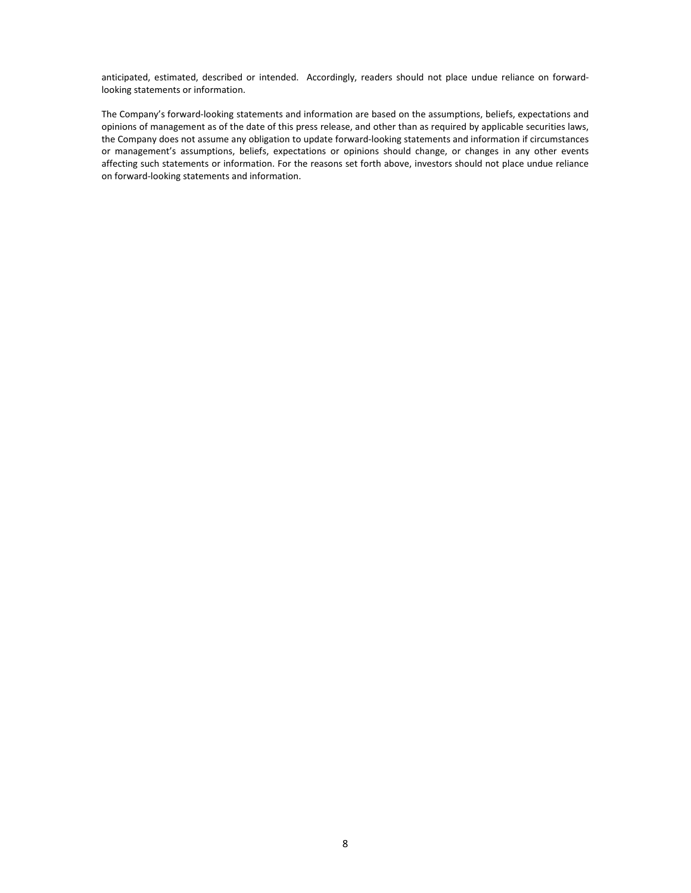anticipated, estimated, described or intended. Accordingly, readers should not place undue reliance on forwardlooking statements or information.

The Company's forward-looking statements and information are based on the assumptions, beliefs, expectations and opinions of management as of the date of this press release, and other than as required by applicable securities laws, the Company does not assume any obligation to update forward-looking statements and information if circumstances or management's assumptions, beliefs, expectations or opinions should change, or changes in any other events affecting such statements or information. For the reasons set forth above, investors should not place undue reliance on forward-looking statements and information.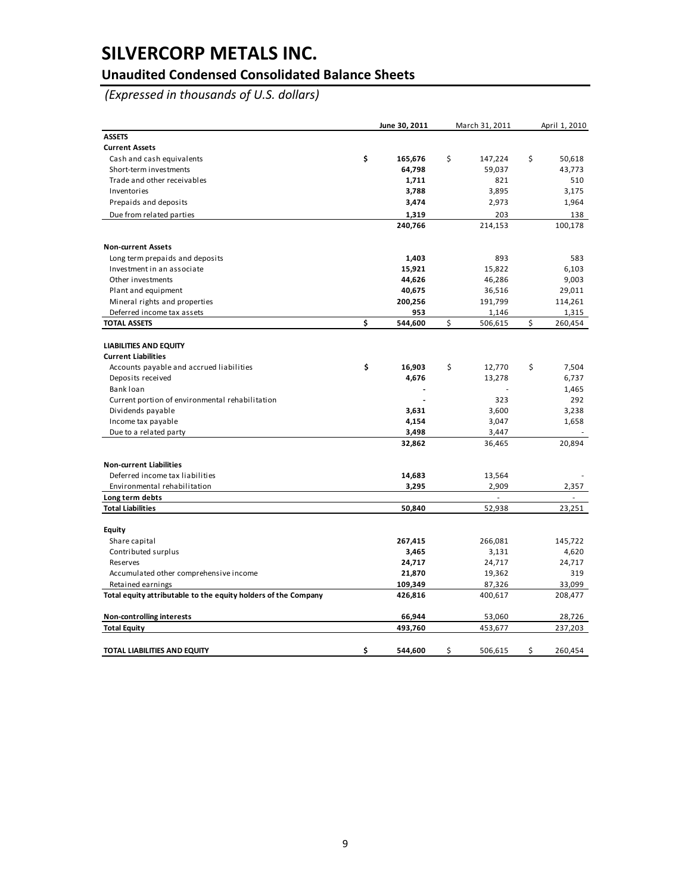## **Unaudited Condensed Consolidated Balance Sheets**

*(Expressed in thousands of U.S. dollars)*

|                                                                | June 30, 2011 | March 31, 2011 | April 1, 2010 |
|----------------------------------------------------------------|---------------|----------------|---------------|
| <b>ASSETS</b>                                                  |               |                |               |
| <b>Current Assets</b>                                          |               |                |               |
| Cash and cash equivalents                                      | \$<br>165,676 | \$<br>147,224  | \$<br>50,618  |
| Short-term investments                                         | 64,798        | 59,037         | 43,773        |
| Trade and other receivables                                    | 1,711         | 821            | 510           |
| Inventories                                                    | 3,788         | 3,895          | 3,175         |
| Prepaids and deposits                                          | 3,474         | 2,973          | 1,964         |
| Due from related parties                                       | 1,319         | 203            | 138           |
|                                                                | 240,766       | 214,153        | 100,178       |
| <b>Non-current Assets</b>                                      |               |                |               |
| Long term prepaids and deposits                                | 1,403         | 893            | 583           |
| Investment in an associate                                     | 15,921        | 15,822         | 6,103         |
| Other investments                                              | 44,626        | 46,286         | 9,003         |
| Plant and equipment                                            | 40,675        | 36,516         | 29,011        |
| Mineral rights and properties                                  | 200,256       | 191,799        | 114,261       |
| Deferred income tax assets                                     | 953           | 1,146          | 1,315         |
| <b>TOTAL ASSETS</b>                                            | \$<br>544,600 | \$<br>506,615  | \$<br>260,454 |
| <b>LIABILITIES AND EQUITY</b>                                  |               |                |               |
| <b>Current Liabilities</b>                                     |               |                |               |
| Accounts payable and accrued liabilities                       | \$<br>16,903  | \$<br>12,770   | \$<br>7,504   |
| Deposits received                                              | 4,676         | 13,278         | 6,737         |
| Bank loan                                                      |               |                | 1,465         |
| Current portion of environmental rehabilitation                |               | 323            | 292           |
| Dividends payable                                              | 3,631         | 3,600          | 3,238         |
| Income tax payable                                             | 4,154         | 3,047          | 1,658         |
| Due to a related party                                         | 3,498         | 3,447          |               |
|                                                                | 32,862        | 36,465         | 20,894        |
| <b>Non-current Liabilities</b>                                 |               |                |               |
| Deferred income tax liabilities                                | 14,683        | 13,564         |               |
| Environmental rehabilitation                                   | 3,295         | 2,909          | 2,357         |
| Long term debts<br><b>Total Liabilities</b>                    | 50,840        | 52,938         | 23,251        |
|                                                                |               |                |               |
| <b>Equity</b><br>Share capital                                 | 267,415       | 266,081        | 145,722       |
| Contributed surplus                                            | 3,465         | 3,131          | 4,620         |
| Reserves                                                       | 24,717        | 24,717         | 24,717        |
| Accumulated other comprehensive income                         | 21,870        | 19,362         | 319           |
| Retained earnings                                              | 109,349       | 87,326         | 33,099        |
| Total equity attributable to the equity holders of the Company | 426,816       | 400,617        | 208,477       |
|                                                                |               |                |               |
| <b>Non-controlling interests</b>                               | 66,944        | 53,060         | 28,726        |
| <b>Total Equity</b>                                            | 493,760       | 453,677        | 237,203       |
| TOTAL LIABILITIES AND EQUITY                                   | \$<br>544,600 | \$<br>506,615  | \$<br>260,454 |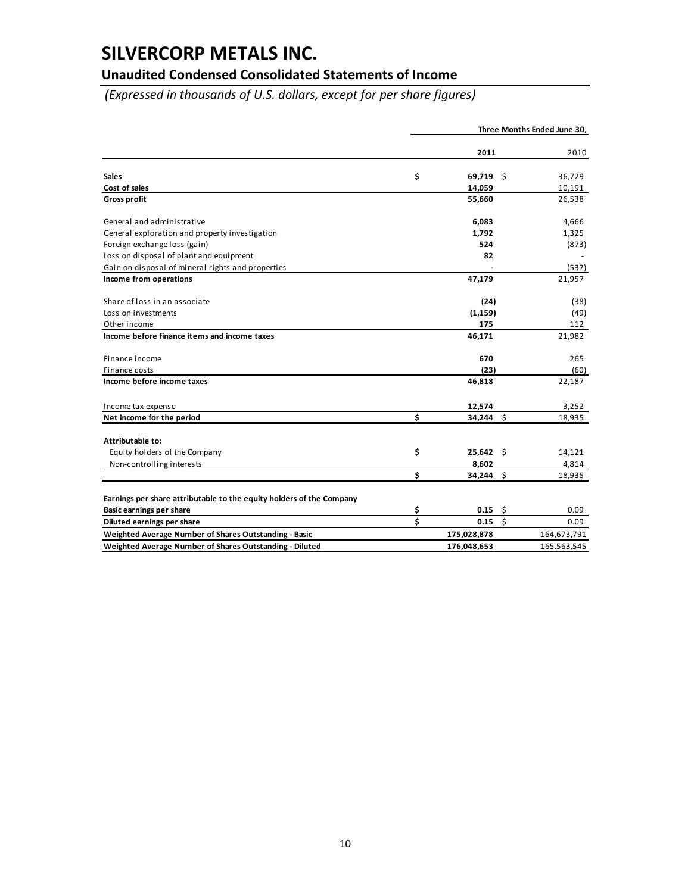## **Unaudited Condensed Consolidated Statements of Income**

*(Expressed in thousands of U.S. dollars, except for per share figures)*

|                                                                      | Three Months Ended June 30, |                     |              |                 |
|----------------------------------------------------------------------|-----------------------------|---------------------|--------------|-----------------|
|                                                                      |                             | 2011                |              | 2010            |
|                                                                      |                             |                     |              |                 |
| <b>Sales</b>                                                         | \$                          | $69,719$ \$         |              | 36,729          |
| Cost of sales                                                        |                             | 14,059              |              | 10,191          |
| <b>Gross profit</b>                                                  |                             | 55,660              |              | 26,538          |
| General and administrative                                           |                             | 6,083               |              | 4,666           |
| General exploration and property investigation                       |                             | 1,792               |              | 1,325           |
| Foreign exchange loss (gain)                                         |                             | 524                 |              | (873)           |
| Loss on disposal of plant and equipment                              |                             | 82                  |              |                 |
| Gain on disposal of mineral rights and properties                    |                             |                     |              | (537)           |
| Income from operations                                               |                             | 47,179              |              | 21,957          |
| Share of loss in an associate                                        |                             | (24)                |              | (38)            |
| Loss on investments                                                  |                             | (1, 159)            |              | (49)            |
| Other income                                                         |                             | 175                 |              | 112             |
| Income before finance items and income taxes                         |                             | 46,171              |              | 21,982          |
| Finance income                                                       |                             | 670                 |              | 265             |
| Finance costs                                                        |                             | (23)                |              | (60)            |
| Income before income taxes                                           |                             | 46,818              |              | 22,187          |
|                                                                      |                             |                     |              |                 |
| Income tax expense<br>Net income for the period                      | \$                          | 12,574<br>34,244 \$ |              | 3,252<br>18,935 |
|                                                                      |                             |                     |              |                 |
| Attributable to:                                                     |                             |                     |              |                 |
| Equity holders of the Company                                        | \$                          | $25,642$ \$         |              | 14,121          |
| Non-controlling interests                                            |                             | 8,602               |              | 4,814           |
|                                                                      | Ś                           | $34,244$ \$         |              | 18,935          |
| Earnings per share attributable to the equity holders of the Company |                             |                     |              |                 |
| Basic earnings per share                                             | \$                          | 0.15                | Ŝ.           | 0.09            |
| Diluted earnings per share                                           | Ś                           | 0.15                | $\mathsf{S}$ | 0.09            |
| Weighted Average Number of Shares Outstanding - Basic                |                             | 175,028,878         |              | 164,673,791     |
| Weighted Average Number of Shares Outstanding - Diluted              |                             | 176,048,653         |              | 165,563,545     |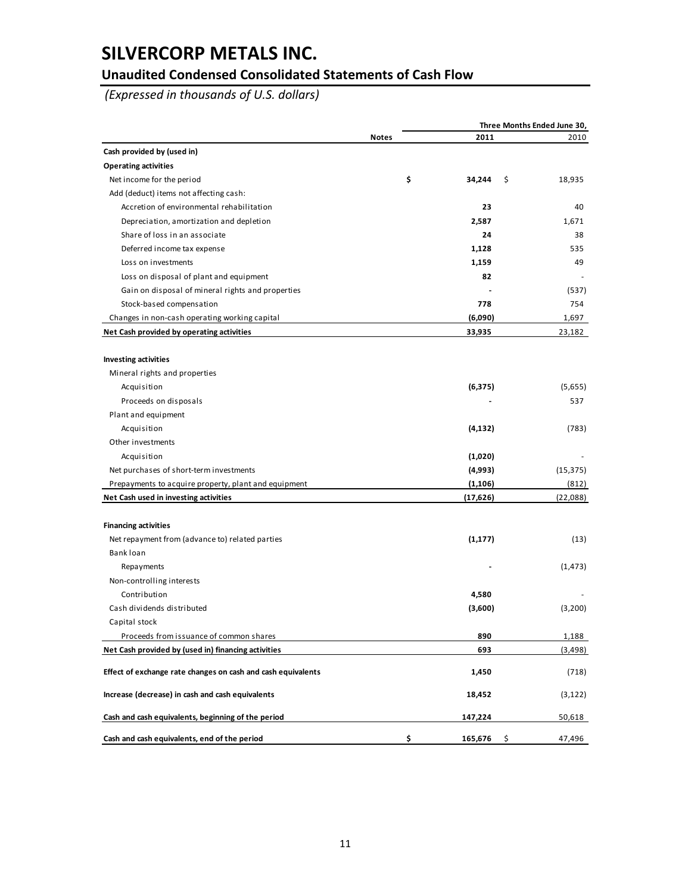## **Unaudited Condensed Consolidated Statements of Cash Flow**

*(Expressed in thousands of U.S. dollars)*

|                                                              |              |               | Three Months Ended June 30, |
|--------------------------------------------------------------|--------------|---------------|-----------------------------|
|                                                              | <b>Notes</b> | 2011          | 2010                        |
| Cash provided by (used in)                                   |              |               |                             |
| <b>Operating activities</b>                                  |              |               |                             |
| Net income for the period                                    | \$           | 34,244<br>\$  | 18,935                      |
| Add (deduct) items not affecting cash:                       |              |               |                             |
| Accretion of environmental rehabilitation                    |              | 23            | 40                          |
| Depreciation, amortization and depletion                     |              | 2,587         | 1,671                       |
| Share of loss in an associate                                |              | 24            | 38                          |
| Deferred income tax expense                                  |              | 1,128         | 535                         |
| Loss on investments                                          |              | 1,159         | 49                          |
| Loss on disposal of plant and equipment                      |              | 82            |                             |
| Gain on disposal of mineral rights and properties            |              |               | (537)                       |
| Stock-based compensation                                     |              | 778           | 754                         |
| Changes in non-cash operating working capital                |              | (6,090)       | 1,697                       |
| Net Cash provided by operating activities                    |              | 33,935        | 23,182                      |
|                                                              |              |               |                             |
| <b>Investing activities</b>                                  |              |               |                             |
| Mineral rights and properties                                |              |               |                             |
| Acquisition                                                  |              | (6, 375)      | (5,655)                     |
| Proceeds on disposals                                        |              |               | 537                         |
| Plant and equipment                                          |              |               |                             |
| Acquisition                                                  |              | (4, 132)      | (783)                       |
| Other investments                                            |              |               |                             |
| Acquisition                                                  |              | (1,020)       |                             |
| Net purchases of short-term investments                      |              | (4,993)       | (15, 375)                   |
| Prepayments to acquire property, plant and equipment         |              | (1, 106)      | (812)                       |
| Net Cash used in investing activities                        |              | (17,626)      | (22,088)                    |
|                                                              |              |               |                             |
| <b>Financing activities</b>                                  |              |               |                             |
| Net repayment from (advance to) related parties              |              | (1, 177)      | (13)                        |
| Bank loan                                                    |              |               |                             |
| Repayments                                                   |              |               | (1, 473)                    |
| Non-controlling interests                                    |              |               |                             |
| Contribution                                                 |              | 4,580         |                             |
| Cash dividends distributed                                   |              | (3,600)       | (3, 200)                    |
| Capital stock                                                |              |               |                             |
| Proceeds from issuance of common shares                      |              | 890           | 1,188                       |
| Net Cash provided by (used in) financing activities          |              | 693           | (3, 498)                    |
| Effect of exchange rate changes on cash and cash equivalents |              | 1,450         | (718)                       |
| Increase (decrease) in cash and cash equivalents             |              | 18,452        | (3, 122)                    |
| Cash and cash equivalents, beginning of the period           |              | 147,224       | 50,618                      |
| Cash and cash equivalents, end of the period                 | \$           | \$<br>165,676 | 47,496                      |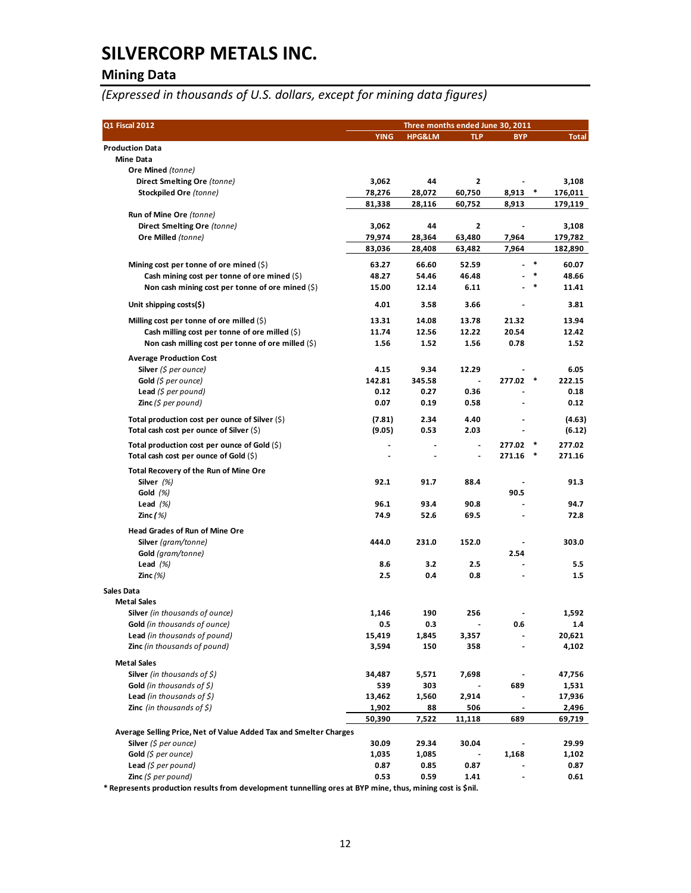## **Mining Data**

## *(Expressed in thousands of U.S. dollars, except for mining data figures)*

| <b>Q1 Fiscal 2012</b>                                             | Three months ended June 30, 2011 |                   |                          |                          |              |  |  |
|-------------------------------------------------------------------|----------------------------------|-------------------|--------------------------|--------------------------|--------------|--|--|
|                                                                   | <b>YING</b>                      | <b>HPG&amp;LM</b> | <b>TLP</b>               | <b>BYP</b>               | <b>Total</b> |  |  |
| <b>Production Data</b>                                            |                                  |                   |                          |                          |              |  |  |
| <b>Mine Data</b>                                                  |                                  |                   |                          |                          |              |  |  |
| Ore Mined (tonne)                                                 |                                  |                   |                          |                          |              |  |  |
| Direct Smelting Ore (tonne)                                       | 3,062                            | 44                | $\overline{2}$           |                          | 3,108        |  |  |
| Stockpiled Ore (tonne)                                            | 78,276                           | 28,072            | 60,750                   | 8,913<br>*               | 176,011      |  |  |
|                                                                   | 81,338                           | 28,116            | 60,752                   | 8,913                    | 179,119      |  |  |
| Run of Mine Ore (tonne)                                           |                                  |                   |                          |                          |              |  |  |
| Direct Smelting Ore (tonne)                                       | 3,062                            | 44                | 2                        |                          | 3,108        |  |  |
| Ore Milled (tonne)                                                | 79,974                           | 28,364<br>28,408  | 63,480<br>63,482         | 7,964                    | 179,782      |  |  |
|                                                                   | 83,036                           |                   |                          | 7,964                    | 182,890      |  |  |
| Mining cost per tonne of ore mined $(\xi)$                        | 63.27                            | 66.60             | 52.59                    | *<br>÷.                  | 60.07        |  |  |
| Cash mining cost per tonne of ore mined $(5)$                     | 48.27                            | 54.46             | 46.48                    | *                        | 48.66        |  |  |
| Non cash mining cost per tonne of ore mined $(\xi)$               | 15.00                            | 12.14             | 6.11                     | *                        | 11.41        |  |  |
| Unit shipping costs(\$)                                           | 4.01                             | 3.58              | 3.66                     |                          | 3.81         |  |  |
| Milling cost per tonne of ore milled $(\xi)$                      | 13.31                            | 14.08             | 13.78                    | 21.32                    | 13.94        |  |  |
| Cash milling cost per tonne of ore milled $(\xi)$                 | 11.74                            | 12.56             | 12.22                    | 20.54                    | 12.42        |  |  |
| Non cash milling cost per tonne of ore milled $(\xi)$             | 1.56                             | 1.52              | 1.56                     | 0.78                     | 1.52         |  |  |
|                                                                   |                                  |                   |                          |                          |              |  |  |
| <b>Average Production Cost</b>                                    |                                  |                   |                          |                          |              |  |  |
| <b>Silver</b> (\$ per ounce)                                      | 4.15                             | 9.34              | 12.29                    |                          | 6.05         |  |  |
| Gold $(\xi$ per ounce)                                            | 142.81                           | 345.58            |                          | 277.02<br>$\ast$         | 222.15       |  |  |
| Lead $(\xi$ per pound)                                            | 0.12                             | 0.27              | 0.36                     |                          | 0.18         |  |  |
| <b>Zinc</b> (\$ per pound)                                        | 0.07                             | 0.19              | 0.58                     |                          | 0.12         |  |  |
| Total production cost per ounce of Silver $(\xi)$                 | (7.81)                           | 2.34              | 4.40                     |                          | (4.63)       |  |  |
| Total cash cost per ounce of Silver $(\xi)$                       | (9.05)                           | 0.53              | 2.03                     | $\overline{\phantom{a}}$ | (6.12)       |  |  |
| Total production cost per ounce of Gold $(\xi)$                   |                                  |                   | $\overline{\phantom{a}}$ | 277.02<br>*              | 277.02       |  |  |
| Total cash cost per ounce of Gold $(\xi)$                         |                                  |                   | $\overline{\phantom{a}}$ | 271.16<br>$\ast$         | 271.16       |  |  |
| <b>Total Recovery of the Run of Mine Ore</b>                      |                                  |                   |                          |                          |              |  |  |
| Silver $(\%)$                                                     | 92.1                             | 91.7              | 88.4                     |                          | 91.3         |  |  |
| Gold $(%)$                                                        |                                  |                   |                          | 90.5                     |              |  |  |
| Lead $(%)$                                                        | 96.1                             | 93.4              | 90.8                     |                          | 94.7         |  |  |
| Zinc $(%)$                                                        | 74.9                             | 52.6              | 69.5                     |                          | 72.8         |  |  |
| <b>Head Grades of Run of Mine Ore</b>                             |                                  |                   |                          |                          |              |  |  |
| Silver (gram/tonne)                                               | 444.0                            | 231.0             | 152.0                    |                          | 303.0        |  |  |
| Gold (gram/tonne)                                                 |                                  |                   |                          | 2.54                     |              |  |  |
| Lead $(%)$                                                        | 8.6                              | 3.2               | 2.5                      |                          | 5.5          |  |  |
| Zinc $(\%)$                                                       | 2.5                              | 0.4               | 0.8                      |                          | 1.5          |  |  |
| <b>Sales Data</b>                                                 |                                  |                   |                          |                          |              |  |  |
| <b>Metal Sales</b>                                                |                                  |                   |                          |                          |              |  |  |
| Silver (in thousands of ounce)                                    | 1,146                            | 190               | 256                      |                          | 1,592        |  |  |
| <b>Gold</b> (in thousands of ounce)                               | 0.5                              | 0.3               |                          | 0.6                      | 1.4          |  |  |
| Lead (in thousands of pound)                                      | 15,419                           | 1,845             | 3,357                    |                          | 20,621       |  |  |
| Zinc (in thousands of pound)                                      | 3,594                            | 150               | 358                      |                          | 4,102        |  |  |
|                                                                   |                                  |                   |                          |                          |              |  |  |
| <b>Metal Sales</b>                                                |                                  |                   |                          |                          |              |  |  |
| <b>Silver</b> (in thousands of \$)                                | 34,487                           | 5,571             | 7,698                    |                          | 47,756       |  |  |
| Gold (in thousands of $\zeta$ )                                   | 539                              | 303               |                          | 689                      | 1,531        |  |  |
| <b>Lead</b> (in thousands of $\zeta$ )                            | 13,462                           | 1,560             | 2,914                    |                          | 17,936       |  |  |
| <b>Zinc</b> (in thousands of $\zeta$ )                            | 1,902                            | 88                | 506                      |                          | 2,496        |  |  |
|                                                                   | 50,390                           | 7,522             | 11,118                   | 689                      | 69,719       |  |  |
| Average Selling Price, Net of Value Added Tax and Smelter Charges |                                  |                   |                          |                          |              |  |  |
| <b>Silver</b> (\$ per ounce)                                      | 30.09                            | 29.34             | 30.04                    |                          | 29.99        |  |  |
| Gold $(5$ per ounce)                                              | 1,035                            | 1,085             | $\overline{\phantom{a}}$ | 1,168                    | 1,102        |  |  |
| Lead $(S$ per pound)                                              | 0.87                             | 0.85              | 0.87                     |                          | 0.87         |  |  |
| Zinc $(5$ per pound)                                              | 0.53                             | 0.59              | 1.41                     |                          | 0.61         |  |  |

**\* Represents production results from development tunnelling ores at BYP mine, thus, mining cost is \$nil.**